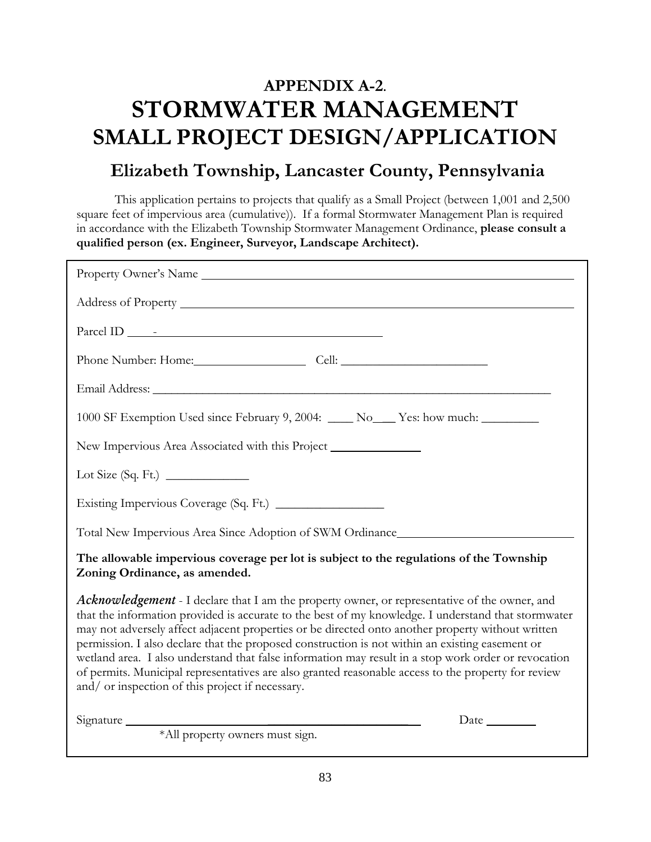# **APPENDIX A-2. STORMWATER MANAGEMENT SMALL PROJECT DESIGN/APPLICATION**

## **Elizabeth Township, Lancaster County, Pennsylvania**

This application pertains to projects that qualify as a Small Project (between 1,001 and 2,500 square feet of impervious area (cumulative)). If a formal Stormwater Management Plan is required in accordance with the Elizabeth Township Stormwater Management Ordinance, **please consult a qualified person (ex. Engineer, Surveyor, Landscape Architect).**

| Property Owner's Name                                                                                                                                                                                                                                                                                                                                                                                                                                                                                                                                                                                                                                                                  |
|----------------------------------------------------------------------------------------------------------------------------------------------------------------------------------------------------------------------------------------------------------------------------------------------------------------------------------------------------------------------------------------------------------------------------------------------------------------------------------------------------------------------------------------------------------------------------------------------------------------------------------------------------------------------------------------|
|                                                                                                                                                                                                                                                                                                                                                                                                                                                                                                                                                                                                                                                                                        |
|                                                                                                                                                                                                                                                                                                                                                                                                                                                                                                                                                                                                                                                                                        |
| Phone Number: Home: Cell: Cell:                                                                                                                                                                                                                                                                                                                                                                                                                                                                                                                                                                                                                                                        |
|                                                                                                                                                                                                                                                                                                                                                                                                                                                                                                                                                                                                                                                                                        |
| 1000 SF Exemption Used since February 9, 2004: ____ No___ Yes: how much: _______                                                                                                                                                                                                                                                                                                                                                                                                                                                                                                                                                                                                       |
| New Impervious Area Associated with this Project ________________________________                                                                                                                                                                                                                                                                                                                                                                                                                                                                                                                                                                                                      |
|                                                                                                                                                                                                                                                                                                                                                                                                                                                                                                                                                                                                                                                                                        |
|                                                                                                                                                                                                                                                                                                                                                                                                                                                                                                                                                                                                                                                                                        |
| Total New Impervious Area Since Adoption of SWM Ordinance________________________                                                                                                                                                                                                                                                                                                                                                                                                                                                                                                                                                                                                      |
| The allowable impervious coverage per lot is subject to the regulations of the Township<br>Zoning Ordinance, as amended.                                                                                                                                                                                                                                                                                                                                                                                                                                                                                                                                                               |
| <b>Acknowledgement</b> - I declare that I am the property owner, or representative of the owner, and<br>that the information provided is accurate to the best of my knowledge. I understand that stormwater<br>may not adversely affect adjacent properties or be directed onto another property without written<br>permission. I also declare that the proposed construction is not within an existing easement or<br>wetland area. I also understand that false information may result in a stop work order or revocation<br>of permits. Municipal representatives are also granted reasonable access to the property for review<br>and/ or inspection of this project if necessary. |
|                                                                                                                                                                                                                                                                                                                                                                                                                                                                                                                                                                                                                                                                                        |
|                                                                                                                                                                                                                                                                                                                                                                                                                                                                                                                                                                                                                                                                                        |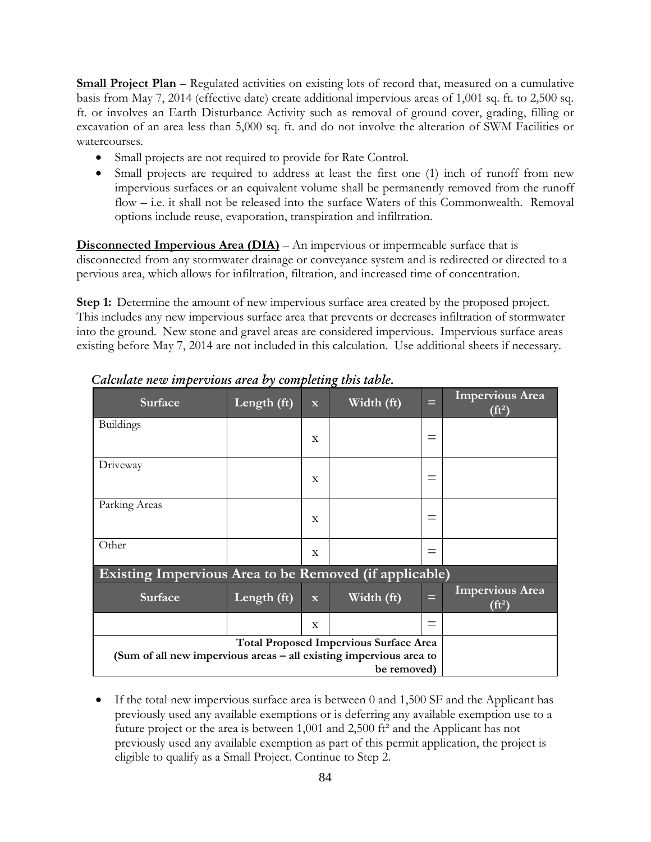**Small Project Plan** – Regulated activities on existing lots of record that, measured on a cumulative basis from May 7, 2014 (effective date) create additional impervious areas of 1,001 sq. ft. to 2,500 sq. ft. or involves an Earth Disturbance Activity such as removal of ground cover, grading, filling or excavation of an area less than 5,000 sq. ft. and do not involve the alteration of SWM Facilities or watercourses.

- Small projects are not required to provide for Rate Control.
- Small projects are required to address at least the first one (1) inch of runoff from new impervious surfaces or an equivalent volume shall be permanently removed from the runoff flow – i.e. it shall not be released into the surface Waters of this Commonwealth. Removal options include reuse, evaporation, transpiration and infiltration.

**Disconnected Impervious Area (DIA)** – An impervious or impermeable surface that is disconnected from any stormwater drainage or conveyance system and is redirected or directed to a pervious area, which allows for infiltration, filtration, and increased time of concentration.

**Step 1:** Determine the amount of new impervious surface area created by the proposed project. This includes any new impervious surface area that prevents or decreases infiltration of stormwater into the ground. New stone and gravel areas are considered impervious. Impervious surface areas existing before May 7, 2014 are not included in this calculation. Use additional sheets if necessary.

| Length (ft)                                            | $\overline{\mathbf{X}}$ | Width (ft) | Ξ        | <b>Impervious Area</b><br>$(f t^2)$                                                                                                |  |  |  |  |
|--------------------------------------------------------|-------------------------|------------|----------|------------------------------------------------------------------------------------------------------------------------------------|--|--|--|--|
|                                                        | X                       |            | $\equiv$ |                                                                                                                                    |  |  |  |  |
|                                                        | X                       |            |          |                                                                                                                                    |  |  |  |  |
|                                                        | X                       |            |          |                                                                                                                                    |  |  |  |  |
|                                                        | $\mathbf{x}$            |            | $=$      |                                                                                                                                    |  |  |  |  |
| Existing Impervious Area to be Removed (if applicable) |                         |            |          |                                                                                                                                    |  |  |  |  |
| Length (ft)                                            | $\overline{\mathbf{X}}$ | Width (ft) | ⋿        | <b>Impervious Area</b><br>$(f t^2)$                                                                                                |  |  |  |  |
|                                                        | $\mathbf{X}$            |            | $\equiv$ |                                                                                                                                    |  |  |  |  |
|                                                        |                         |            |          |                                                                                                                                    |  |  |  |  |
|                                                        |                         |            |          |                                                                                                                                    |  |  |  |  |
|                                                        |                         |            |          | <b>Total Proposed Impervious Surface Area</b><br>(Sum of all new impervious areas – all existing impervious area to<br>be removed) |  |  |  |  |

*Calculate new impervious area by completing this table.*

• If the total new impervious surface area is between 0 and 1,500 SF and the Applicant has previously used any available exemptions or is deferring any available exemption use to a future project or the area is between 1,001 and 2,500 ft² and the Applicant has not previously used any available exemption as part of this permit application, the project is eligible to qualify as a Small Project. Continue to Step 2.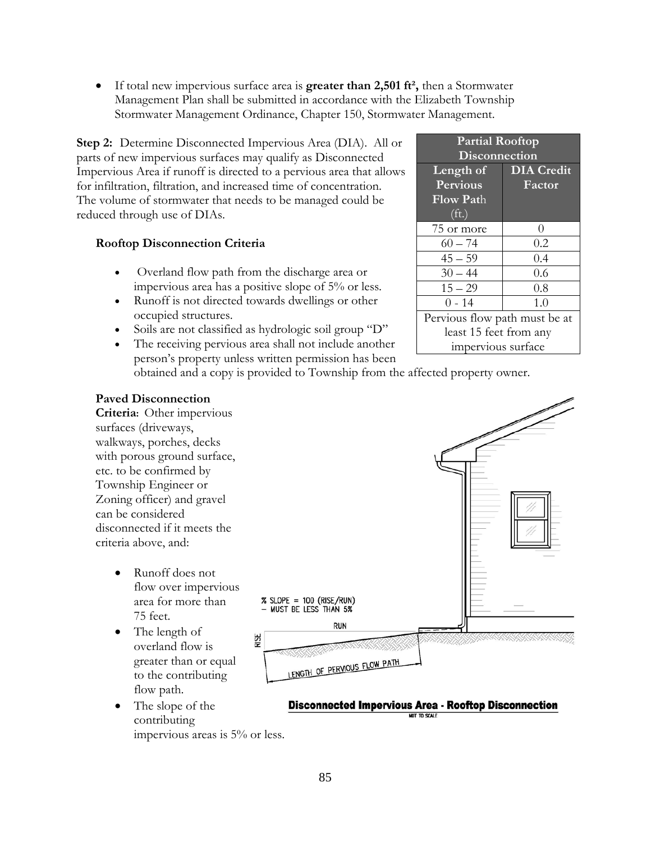• If total new impervious surface area is **greater than 2,501 ft²,** then a Stormwater Management Plan shall be submitted in accordance with the Elizabeth Township Stormwater Management Ordinance, Chapter 150, Stormwater Management.

**Step 2:** Determine Disconnected Impervious Area (DIA). All or parts of new impervious surfaces may qualify as Disconnected Impervious Area if runoff is directed to a pervious area that allows for infiltration, filtration, and increased time of concentration. The volume of stormwater that needs to be managed could be reduced through use of DIAs.

#### **Rooftop Disconnection Criteria**

- Overland flow path from the discharge area or impervious area has a positive slope of 5% or less.
- Runoff is not directed towards dwellings or other occupied structures.
- Soils are not classified as hydrologic soil group "D"
- The receiving pervious area shall not include another person's property unless written permission has been obtained and a copy is provided to Township from the affected property owner.

| <b>Partial Rooftop</b><br>Disconnection |                   |  |  |  |  |  |
|-----------------------------------------|-------------------|--|--|--|--|--|
| Length of                               | <b>DIA</b> Credit |  |  |  |  |  |
| Pervious                                | Factor            |  |  |  |  |  |
| Flow Path                               |                   |  |  |  |  |  |
| (f <sub>t</sub> )                       |                   |  |  |  |  |  |
| 75 or more                              | $\left( \right)$  |  |  |  |  |  |
| $60 - 74$                               | 0.2               |  |  |  |  |  |
| $45 - 59$                               | 0.4               |  |  |  |  |  |
| $30 - 44$                               | 0.6               |  |  |  |  |  |
| $15 - 29$                               | 0.8               |  |  |  |  |  |
| $0 - 14$                                | 1.0               |  |  |  |  |  |
| Pervious flow path must be at           |                   |  |  |  |  |  |
| least 15 feet from any                  |                   |  |  |  |  |  |
| impervious surface                      |                   |  |  |  |  |  |

#### **Paved Disconnection**

**Criteria:** Other impervious surfaces (driveways, walkways, porches, decks with porous ground surface, etc. to be confirmed by Township Engineer or Zoning officer) and gravel can be considered disconnected if it meets the criteria above, and:

- Runoff does not flow over impervious area for more than 75 feet.
- The length of overland flow is greater than or equal to the contributing flow path.
- The slope of the contributing impervious areas is 5% or less.



#### **Disconnected Impervious Area - Rooftop Disconnection** NOT TO SCALE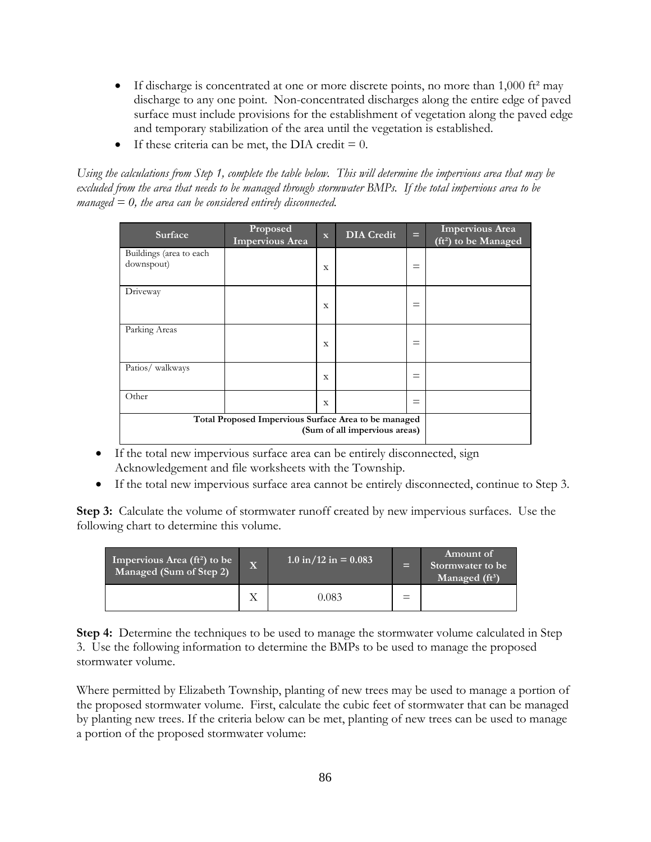- If discharge is concentrated at one or more discrete points, no more than  $1,000$  ft<sup>2</sup> may discharge to any one point. Non-concentrated discharges along the entire edge of paved surface must include provisions for the establishment of vegetation along the paved edge and temporary stabilization of the area until the vegetation is established.
- If these criteria can be met, the DIA credit  $= 0$ .

*Using the calculations from Step 1, complete the table below. This will determine the impervious area that may be excluded from the area that needs to be managed through stormwater BMPs. If the total impervious area to be managed = 0, the area can be considered entirely disconnected.*

| Surface                                              | Proposed<br><b>Impervious Area</b> | $\mathbf{x}$ | <b>DIA</b> Credit | Е        | <b>Impervious Area</b><br>(ft <sup>2</sup> ) to be Managed |
|------------------------------------------------------|------------------------------------|--------------|-------------------|----------|------------------------------------------------------------|
| Buildings (area to each                              |                                    |              |                   |          |                                                            |
| downspout)                                           |                                    | $\mathbf x$  |                   | $=$      |                                                            |
| Driveway                                             |                                    |              |                   |          |                                                            |
|                                                      |                                    | $\mathbf x$  |                   | $\equiv$ |                                                            |
| Parking Areas                                        |                                    |              |                   |          |                                                            |
|                                                      |                                    | $\mathbf x$  |                   | $=$      |                                                            |
| Patios/ walkways                                     |                                    |              |                   |          |                                                            |
|                                                      |                                    | $\mathbf x$  |                   | $=$      |                                                            |
| Other                                                |                                    | $\mathbf x$  |                   | $=$      |                                                            |
| Total Proposed Impervious Surface Area to be managed |                                    |              |                   |          |                                                            |
|                                                      |                                    |              |                   |          |                                                            |

- If the total new impervious surface area can be entirely disconnected, sign Acknowledgement and file worksheets with the Township.
- If the total new impervious surface area cannot be entirely disconnected, continue to Step 3.

**Step 3:** Calculate the volume of stormwater runoff created by new impervious surfaces. Use the following chart to determine this volume.

| Impervious Area (ft <sup>2</sup> ) to be<br>Managed (Sum of Step 2) | $\overline{\mathbf{X}}$ | $1.0 \text{ in} / 12 \text{ in} = 0.083$ | Е | Amount of<br>Stormwater to be<br>Managed $(ft^3)$ |
|---------------------------------------------------------------------|-------------------------|------------------------------------------|---|---------------------------------------------------|
|                                                                     |                         | 0.083                                    |   |                                                   |

**Step 4:** Determine the techniques to be used to manage the stormwater volume calculated in Step 3. Use the following information to determine the BMPs to be used to manage the proposed stormwater volume.

Where permitted by Elizabeth Township, planting of new trees may be used to manage a portion of the proposed stormwater volume. First, calculate the cubic feet of stormwater that can be managed by planting new trees. If the criteria below can be met, planting of new trees can be used to manage a portion of the proposed stormwater volume: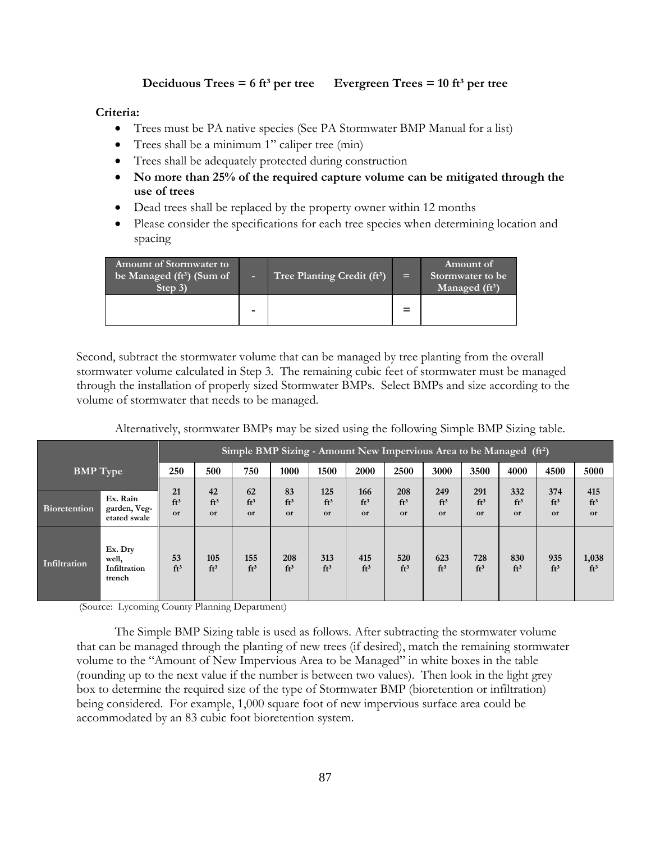#### **Deciduous Trees = 6 ft<sup>3</sup> per tree Evergreen Trees = 10 ft<sup>3</sup> per tree**

#### **Criteria:**

- Trees must be PA native species (See PA Stormwater BMP Manual for a list)
- Trees shall be a minimum 1" caliper tree (min)
- Trees shall be adequately protected during construction
- **No more than 25% of the required capture volume can be mitigated through the use of trees**
- Dead trees shall be replaced by the property owner within 12 months
- Please consider the specifications for each tree species when determining location and spacing

| <b>Amount of Stormwater to</b><br>be Managed (ft <sup>3</sup> ) (Sum of<br>Step 3) |                          | Tree Planting Credit (ft <sup>3</sup> ) | $=$ | Amount of<br>Stormwater to be<br>Managed (ft <sup>3</sup> ) |
|------------------------------------------------------------------------------------|--------------------------|-----------------------------------------|-----|-------------------------------------------------------------|
|                                                                                    | $\overline{\phantom{0}}$ |                                         | $=$ |                                                             |

Second, subtract the stormwater volume that can be managed by tree planting from the overall stormwater volume calculated in Step 3. The remaining cubic feet of stormwater must be managed through the installation of properly sized Stormwater BMPs. Select BMPs and size according to the volume of stormwater that needs to be managed.

| Alternatively, stormwater BMPs may be sized using the following Simple BMP Sizing table. |  |  |
|------------------------------------------------------------------------------------------|--|--|
|                                                                                          |  |  |

|                     |                                            |                             | Simple BMP Sizing - Amount New Impervious Area to be Managed $(fi)$ |                             |                    |                              |                              |                        |                              |                     |                              |                              |                              |
|---------------------|--------------------------------------------|-----------------------------|---------------------------------------------------------------------|-----------------------------|--------------------|------------------------------|------------------------------|------------------------|------------------------------|---------------------|------------------------------|------------------------------|------------------------------|
| <b>BMP</b> Type     |                                            | 250                         | 500                                                                 | 750                         | 1000               | 1500                         | 2000                         | 2500                   | 3000                         | 3500                | 4000                         | 4500                         | 5000                         |
| <b>Bioretention</b> | Ex. Rain<br>garden, Veg-<br>etated swale   | 21<br>ft <sup>3</sup><br>or | 42<br>ft <sup>3</sup><br>or                                         | 62<br>ft <sup>3</sup><br>or | 83<br>$ft^3$<br>or | 125<br>ft <sup>3</sup><br>or | 166<br>ft <sup>3</sup><br>or | 208<br>$ft^3$<br>or    | 249<br>ft <sup>3</sup><br>or | 291<br>$ft^3$<br>or | 332<br>ft <sup>3</sup><br>or | 374<br>ft <sup>3</sup><br>or | 415<br>ft <sup>3</sup><br>or |
| Infiltration        | Ex. Dry<br>well,<br>Infiltration<br>trench | 53<br>ft <sup>3</sup>       | 105<br>ft <sup>3</sup>                                              | 155<br>$ft^3$               | 208<br>$ft^3$      | 313<br>ft <sup>3</sup>       | 415<br>ft <sup>3</sup>       | 520<br>ft <sup>3</sup> | 623<br>$ft^3$                | 728<br>$ft^3$       | 830<br>$ft^3$                | 935<br>ft <sup>3</sup>       | 1,038<br>ft <sup>3</sup>     |

(Source: Lycoming County Planning Department)

The Simple BMP Sizing table is used as follows. After subtracting the stormwater volume that can be managed through the planting of new trees (if desired), match the remaining stormwater volume to the "Amount of New Impervious Area to be Managed" in white boxes in the table (rounding up to the next value if the number is between two values). Then look in the light grey box to determine the required size of the type of Stormwater BMP (bioretention or infiltration) being considered. For example, 1,000 square foot of new impervious surface area could be accommodated by an 83 cubic foot bioretention system.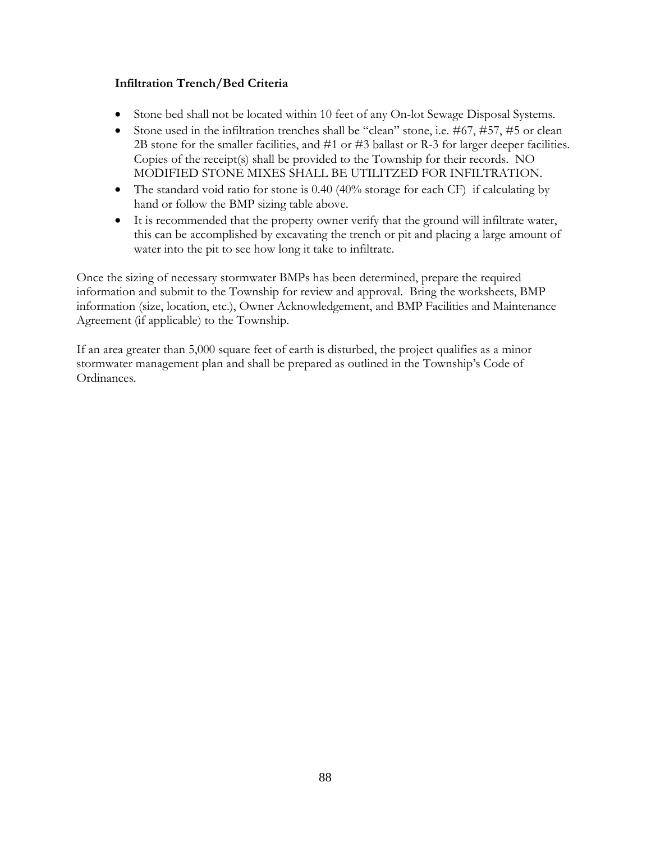#### **Infiltration Trench/Bed Criteria**

- Stone bed shall not be located within 10 feet of any On-lot Sewage Disposal Systems.
- Stone used in the infiltration trenches shall be "clean" stone, i.e. #67, #57, #5 or clean 2B stone for the smaller facilities, and #1 or #3 ballast or R-3 for larger deeper facilities. Copies of the receipt(s) shall be provided to the Township for their records. NO MODIFIED STONE MIXES SHALL BE UTILITZED FOR INFILTRATION.
- The standard void ratio for stone is  $0.40\%$  (40% storage for each CF) if calculating by hand or follow the BMP sizing table above.
- It is recommended that the property owner verify that the ground will infiltrate water, this can be accomplished by excavating the trench or pit and placing a large amount of water into the pit to see how long it take to infiltrate.

Once the sizing of necessary stormwater BMPs has been determined, prepare the required information and submit to the Township for review and approval. Bring the worksheets, BMP information (size, location, etc.), Owner Acknowledgement, and BMP Facilities and Maintenance Agreement (if applicable) to the Township.

If an area greater than 5,000 square feet of earth is disturbed, the project qualifies as a minor stormwater management plan and shall be prepared as outlined in the Township's Code of Ordinances.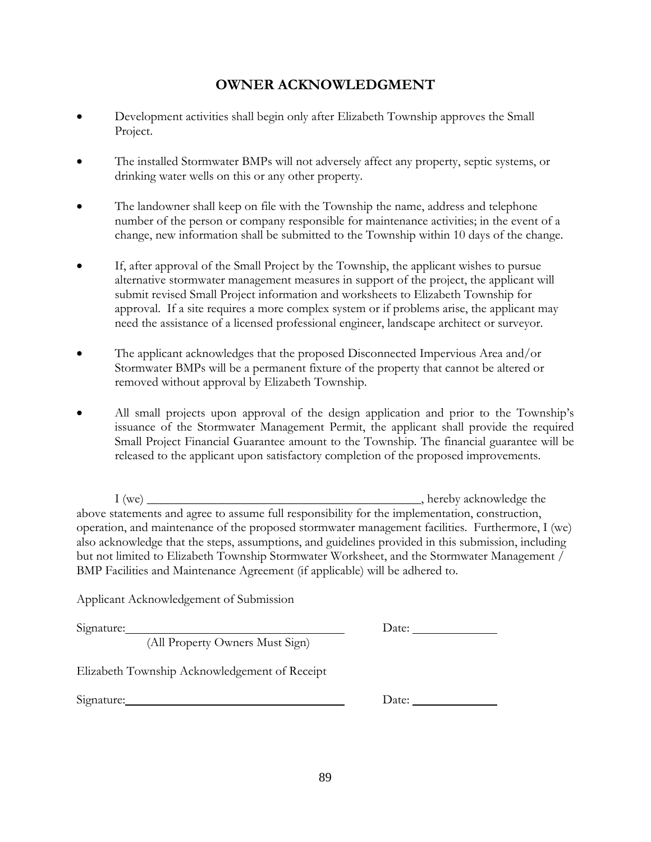### **OWNER ACKNOWLEDGMENT**

- Development activities shall begin only after Elizabeth Township approves the Small Project.
- The installed Stormwater BMPs will not adversely affect any property, septic systems, or drinking water wells on this or any other property.
- The landowner shall keep on file with the Township the name, address and telephone number of the person or company responsible for maintenance activities; in the event of a change, new information shall be submitted to the Township within 10 days of the change.
- If, after approval of the Small Project by the Township, the applicant wishes to pursue alternative stormwater management measures in support of the project, the applicant will submit revised Small Project information and worksheets to Elizabeth Township for approval. If a site requires a more complex system or if problems arise, the applicant may need the assistance of a licensed professional engineer, landscape architect or surveyor.
- The applicant acknowledges that the proposed Disconnected Impervious Area and/or Stormwater BMPs will be a permanent fixture of the property that cannot be altered or removed without approval by Elizabeth Township.
- All small projects upon approval of the design application and prior to the Township's issuance of the Stormwater Management Permit, the applicant shall provide the required Small Project Financial Guarantee amount to the Township. The financial guarantee will be released to the applicant upon satisfactory completion of the proposed improvements.

I (we) \_\_\_\_\_\_\_\_\_\_\_\_\_\_\_\_\_\_\_\_\_\_\_\_\_\_\_\_\_\_\_\_\_\_\_\_\_\_\_\_\_\_\_, hereby acknowledge the above statements and agree to assume full responsibility for the implementation, construction, operation, and maintenance of the proposed stormwater management facilities. Furthermore, I (we) also acknowledge that the steps, assumptions, and guidelines provided in this submission, including but not limited to Elizabeth Township Stormwater Worksheet, and the Stormwater Management / BMP Facilities and Maintenance Agreement (if applicable) will be adhered to.

Applicant Acknowledgement of Submission

Signature: Date:

(All Property Owners Must Sign)

Elizabeth Township Acknowledgement of Receipt

Signature: Date: Date: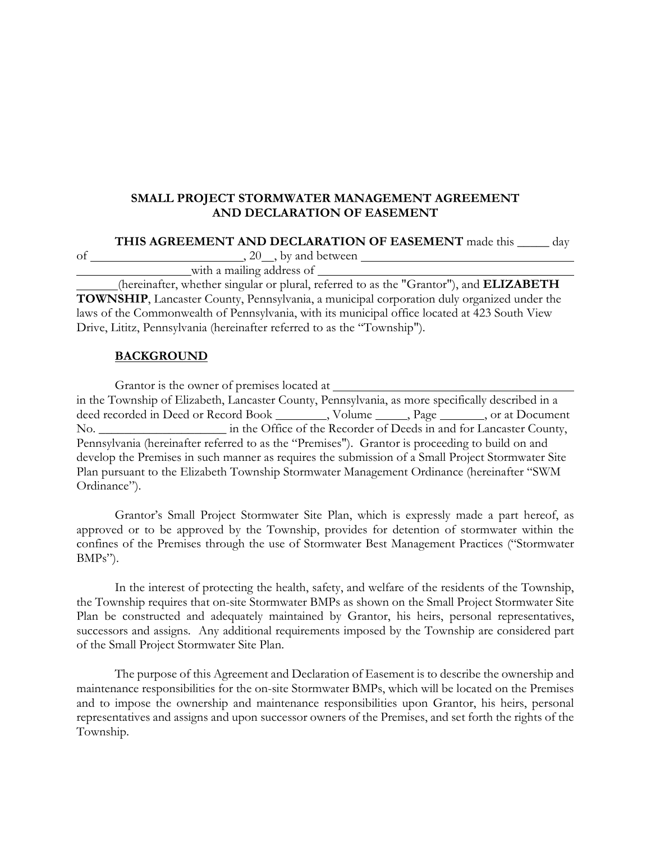#### **SMALL PROJECT STORMWATER MANAGEMENT AGREEMENT AND DECLARATION OF EASEMENT**

#### **THIS AGREEMENT AND DECLARATION OF EASEMENT** made this \_\_\_\_\_ day

| Оĺ |  | by and between |
|----|--|----------------|
|    |  |                |

 with a mailing address of (hereinafter, whether singular or plural, referred to as the "Grantor"), and **ELIZABETH TOWNSHIP**, Lancaster County, Pennsylvania, a municipal corporation duly organized under the

laws of the Commonwealth of Pennsylvania, with its municipal office located at 423 South View Drive, Lititz, Pennsylvania (hereinafter referred to as the "Township").

#### **BACKGROUND**

| Grantor is the owner of premises located at                                                       |  |  |
|---------------------------------------------------------------------------------------------------|--|--|
| in the Township of Elizabeth, Lancaster County, Pennsylvania, as more specifically described in a |  |  |
| deed recorded in Deed or Record Book _________, Volume ______, Page _______, or at Document       |  |  |
|                                                                                                   |  |  |
| Pennsylvania (hereinafter referred to as the "Premises"). Grantor is proceeding to build on and   |  |  |
| develop the Premises in such manner as requires the submission of a Small Project Stormwater Site |  |  |
| Plan pursuant to the Elizabeth Township Stormwater Management Ordinance (hereinafter "SWM         |  |  |
| Ordinance").                                                                                      |  |  |

Grantor's Small Project Stormwater Site Plan, which is expressly made a part hereof, as approved or to be approved by the Township, provides for detention of stormwater within the confines of the Premises through the use of Stormwater Best Management Practices ("Stormwater BMPs").

In the interest of protecting the health, safety, and welfare of the residents of the Township, the Township requires that on-site Stormwater BMPs as shown on the Small Project Stormwater Site Plan be constructed and adequately maintained by Grantor, his heirs, personal representatives, successors and assigns. Any additional requirements imposed by the Township are considered part of the Small Project Stormwater Site Plan.

The purpose of this Agreement and Declaration of Easement is to describe the ownership and maintenance responsibilities for the on-site Stormwater BMPs, which will be located on the Premises and to impose the ownership and maintenance responsibilities upon Grantor, his heirs, personal representatives and assigns and upon successor owners of the Premises, and set forth the rights of the Township.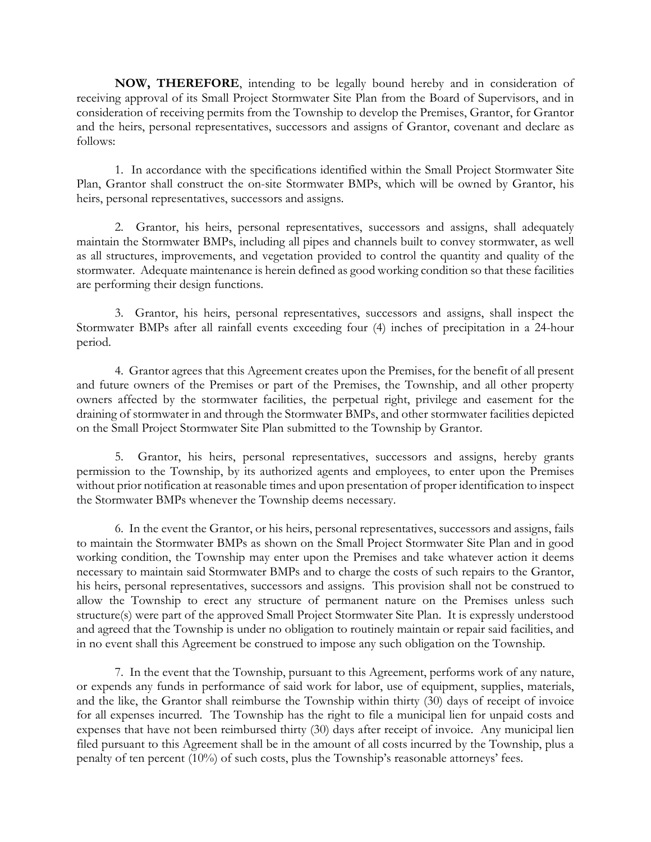**NOW, THEREFORE**, intending to be legally bound hereby and in consideration of receiving approval of its Small Project Stormwater Site Plan from the Board of Supervisors, and in consideration of receiving permits from the Township to develop the Premises, Grantor, for Grantor and the heirs, personal representatives, successors and assigns of Grantor, covenant and declare as follows:

1. In accordance with the specifications identified within the Small Project Stormwater Site Plan, Grantor shall construct the on-site Stormwater BMPs, which will be owned by Grantor, his heirs, personal representatives, successors and assigns.

2. Grantor, his heirs, personal representatives, successors and assigns, shall adequately maintain the Stormwater BMPs, including all pipes and channels built to convey stormwater, as well as all structures, improvements, and vegetation provided to control the quantity and quality of the stormwater. Adequate maintenance is herein defined as good working condition so that these facilities are performing their design functions.

3. Grantor, his heirs, personal representatives, successors and assigns, shall inspect the Stormwater BMPs after all rainfall events exceeding four (4) inches of precipitation in a 24-hour period.

4. Grantor agrees that this Agreement creates upon the Premises, for the benefit of all present and future owners of the Premises or part of the Premises, the Township, and all other property owners affected by the stormwater facilities, the perpetual right, privilege and easement for the draining of stormwater in and through the Stormwater BMPs, and other stormwater facilities depicted on the Small Project Stormwater Site Plan submitted to the Township by Grantor.

5. Grantor, his heirs, personal representatives, successors and assigns, hereby grants permission to the Township, by its authorized agents and employees, to enter upon the Premises without prior notification at reasonable times and upon presentation of proper identification to inspect the Stormwater BMPs whenever the Township deems necessary.

6. In the event the Grantor, or his heirs, personal representatives, successors and assigns, fails to maintain the Stormwater BMPs as shown on the Small Project Stormwater Site Plan and in good working condition, the Township may enter upon the Premises and take whatever action it deems necessary to maintain said Stormwater BMPs and to charge the costs of such repairs to the Grantor, his heirs, personal representatives, successors and assigns. This provision shall not be construed to allow the Township to erect any structure of permanent nature on the Premises unless such structure(s) were part of the approved Small Project Stormwater Site Plan. It is expressly understood and agreed that the Township is under no obligation to routinely maintain or repair said facilities, and in no event shall this Agreement be construed to impose any such obligation on the Township.

7. In the event that the Township, pursuant to this Agreement, performs work of any nature, or expends any funds in performance of said work for labor, use of equipment, supplies, materials, and the like, the Grantor shall reimburse the Township within thirty (30) days of receipt of invoice for all expenses incurred. The Township has the right to file a municipal lien for unpaid costs and expenses that have not been reimbursed thirty (30) days after receipt of invoice. Any municipal lien filed pursuant to this Agreement shall be in the amount of all costs incurred by the Township, plus a penalty of ten percent (10%) of such costs, plus the Township's reasonable attorneys' fees.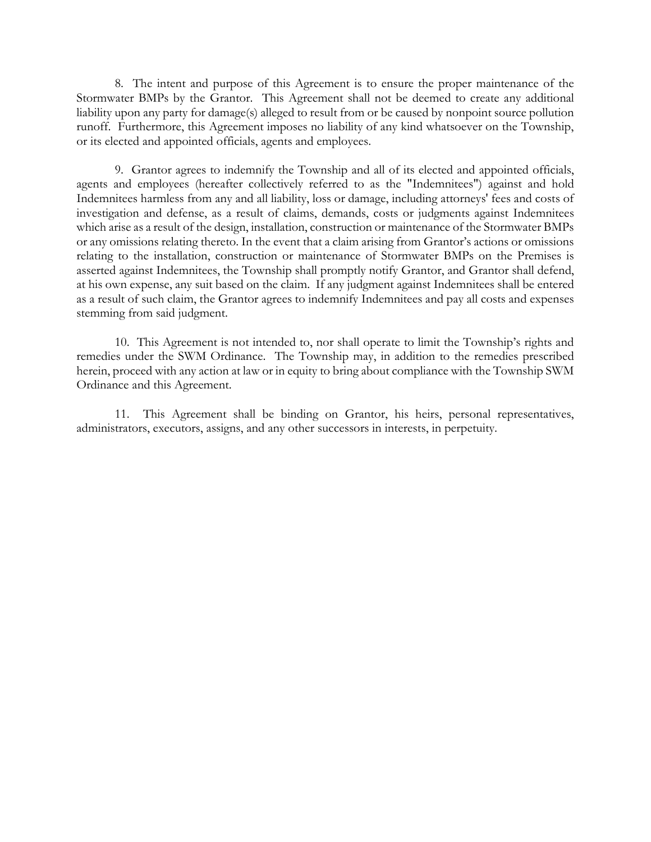8. The intent and purpose of this Agreement is to ensure the proper maintenance of the Stormwater BMPs by the Grantor. This Agreement shall not be deemed to create any additional liability upon any party for damage(s) alleged to result from or be caused by nonpoint source pollution runoff. Furthermore, this Agreement imposes no liability of any kind whatsoever on the Township, or its elected and appointed officials, agents and employees.

9. Grantor agrees to indemnify the Township and all of its elected and appointed officials, agents and employees (hereafter collectively referred to as the "Indemnitees") against and hold Indemnitees harmless from any and all liability, loss or damage, including attorneys' fees and costs of investigation and defense, as a result of claims, demands, costs or judgments against Indemnitees which arise as a result of the design, installation, construction or maintenance of the Stormwater BMPs or any omissions relating thereto. In the event that a claim arising from Grantor's actions or omissions relating to the installation, construction or maintenance of Stormwater BMPs on the Premises is asserted against Indemnitees, the Township shall promptly notify Grantor, and Grantor shall defend, at his own expense, any suit based on the claim. If any judgment against Indemnitees shall be entered as a result of such claim, the Grantor agrees to indemnify Indemnitees and pay all costs and expenses stemming from said judgment.

10. This Agreement is not intended to, nor shall operate to limit the Township's rights and remedies under the SWM Ordinance. The Township may, in addition to the remedies prescribed herein, proceed with any action at law or in equity to bring about compliance with the Township SWM Ordinance and this Agreement.

11. This Agreement shall be binding on Grantor, his heirs, personal representatives, administrators, executors, assigns, and any other successors in interests, in perpetuity.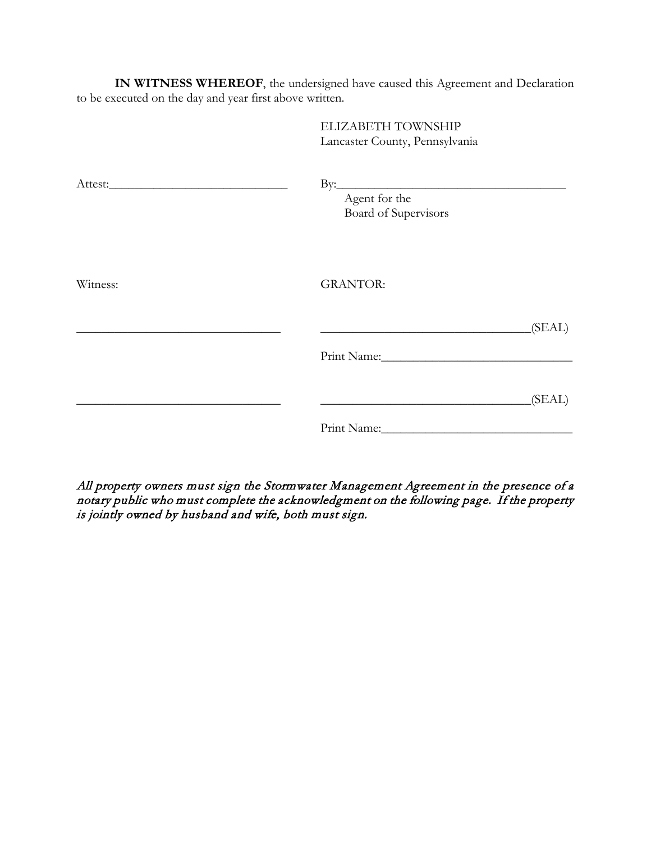**IN WITNESS WHEREOF**, the undersigned have caused this Agreement and Declaration to be executed on the day and year first above written.

|          | ELIZABETH TOWNSHIP<br>Lancaster County, Pennsylvania     |
|----------|----------------------------------------------------------|
|          | $\mathbf{B}$ y:<br>Agent for the<br>Board of Supervisors |
| Witness: | <b>GRANTOR:</b>                                          |
|          | (SEAL)                                                   |
|          | (SEAL)                                                   |
|          |                                                          |

All property owners must sign the Stormwater Management Agreement in the presence of a notary public who must complete the acknowledgment on the following page. If the property is jointly owned by husband and wife, both must sign.